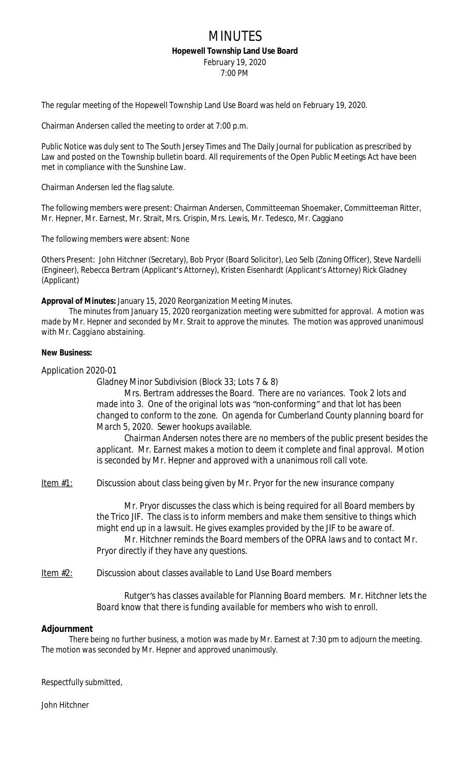## MINUTES **Hopewell Township Land Use Board**

February 19, 2020

7:00 PM

The regular meeting of the Hopewell Township Land Use Board was held on February 19, 2020.

Chairman Andersen called the meeting to order at 7:00 p.m.

Public Notice was duly sent to The South Jersey Times and The Daily Journal for publication as prescribed by Law and posted on the Township bulletin board. All requirements of the Open Public Meetings Act have been met in compliance with the Sunshine Law.

Chairman Andersen led the flag salute.

The following members were present: Chairman Andersen, Committeeman Shoemaker, Committeeman Ritter, Mr. Hepner, Mr. Earnest, Mr. Strait, Mrs. Crispin, Mrs. Lewis, Mr. Tedesco, Mr. Caggiano

The following members were absent: None

Others Present: John Hitchner (Secretary), Bob Pryor (Board Solicitor), Leo Selb (Zoning Officer), Steve Nardelli (Engineer), Rebecca Bertram (Applicant's Attorney), Kristen Eisenhardt (Applicant's Attorney) Rick Gladney (Applicant)

**Approval of Minutes:** January 15, 2020 Reorganization Meeting Minutes.

*The minutes from January 15, 2020 reorganization meeting were submitted for approval. A motion was made by Mr. Hepner and seconded by Mr. Strait to approve the minutes. The motion was approved unanimousl with Mr. Caggiano abstaining.*

## **New Business:**

Application 2020-01

Gladney Minor Subdivision (Block 33; Lots 7 & 8)

*Mrs. Bertram addresses the Board. There are no variances. Took 2 lots and made into 3. One of the original lots was "non-conforming" and that lot has been changed to conform to the zone. On agenda for Cumberland County planning board for March 5, 2020. Sewer hookups available.*

*Chairman Andersen notes there are no members of the public present besides the applicant. Mr. Earnest makes a motion to deem it complete and final approval. Motion is seconded by Mr. Hepner and approved with a unanimous roll call vote.*

Item  $#1$ : Discussion about class being given by Mr. Pryor for the new insurance company

*Mr. Pryor discusses the class which is being required for all Board members by the Trico JIF. The class is to inform members and make them sensitive to things which might end up in a lawsuit. He gives examples provided by the JIF to be aware of. Mr. Hitchner reminds the Board members of the OPRA laws and to contact Mr. Pryor directly if they have any questions.*

Item #2: Discussion about classes available to Land Use Board members

*Rutger's has classes available for Planning Board members. Mr. Hitchner lets the Board know that there is funding available for members who wish to enroll.*

## **Adjournment**

*There being no further business, a motion was made by Mr. Earnest at 7:30 pm to adjourn the meeting. The motion was seconded by Mr. Hepner and approved unanimously.*

Respectfully submitted,

John Hitchner